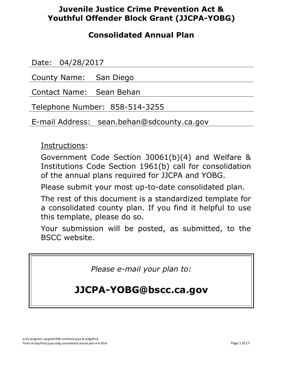## **Juvenile Justice Crime Prevention Act & Youthful Offender Block Grant (JJCPA-YOBG)**

## **Consolidated Annual Plan**

Date: 04/28/2017

County Name: San Diego

Contact Name: Sean Behan

Telephone Number: 858-514-3255

E-mail Address: sean.behan@sdcounty.ca.gov

Instructions:

Government Code Section 30061(b)(4) and Welfare & Institutions Code Section 1961(b) call for consolidation of the annual plans required for JJCPA and YOBG.

Please submit your most up-to-date consolidated plan.

The rest of this document is a standardized template for a consolidated county plan. If you find it helpful to use this template, please do so.

Your submission will be posted, as submitted, to the BSCC website.

*Please e-mail your plan to:*

# **JJCPA-YOBG@bscc.ca.gov**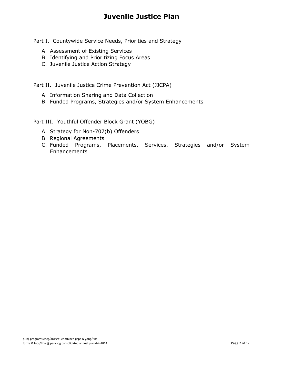## **Juvenile Justice Plan**

Part I. Countywide Service Needs, Priorities and Strategy

- A. Assessment of Existing Services
- B. Identifying and Prioritizing Focus Areas
- C. Juvenile Justice Action Strategy

Part II. Juvenile Justice Crime Prevention Act (JJCPA)

- A. Information Sharing and Data Collection
- B. Funded Programs, Strategies and/or System Enhancements

Part III. Youthful Offender Block Grant (YOBG)

- A. Strategy for Non-707(b) Offenders
- B. Regional Agreements
- C. Funded Programs, Placements, Services, Strategies and/or System **Enhancements**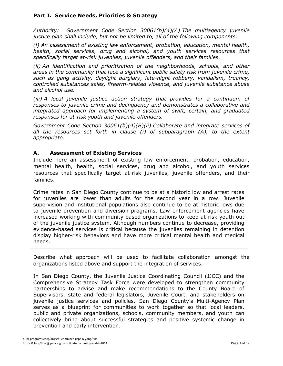#### **Part I. Service Needs, Priorities & Strategy**

*Authority: Government Code Section 30061(b)(4)(A) The multiagency juvenile justice plan shall include, but not be limited to, all of the following components:*

*(i) An assessment of existing law enforcement, probation, education, mental health, health, social services, drug and alcohol, and youth services resources that specifically target at-risk juveniles, juvenile offenders, and their families.*

*(ii) An identification and prioritization of the neighborhoods, schools, and other areas in the community that face a significant public safety risk from juvenile crime, such as gang activity, daylight burglary, late-night robbery, vandalism, truancy, controlled substances sales, firearm-related violence, and juvenile substance abuse and alcohol use.*

*(iii) A local juvenile justice action strategy that provides for a continuum of responses to juvenile crime and delinquency and demonstrates a collaborative and integrated approach for implementing a system of swift, certain, and graduated responses for at-risk youth and juvenile offenders.*

*Government Code Section 30061(b)(4)(B)(ii) Collaborate and integrate services of all the resources set forth in clause (i) of subparagraph (A), to the extent appropriate.*

#### **A. Assessment of Existing Services**

Include here an assessment of existing law enforcement, probation, education, mental health, health, social services, drug and alcohol, and youth services resources that specifically target at-risk juveniles, juvenile offenders, and their families.

Crime rates in San Diego County continue to be at a historic low and arrest rates for juveniles are lower than adults for the second year in a row. Juvenile supervision and institutional populations also continue to be at historic lows due to juvenile prevention and diversion programs. Law enforcement agencies have increased working with community based organizations to keep at-risk youth out of the juvenile justice system. Although numbers continue to decrease, providing evidence-based services is critical because the juveniles remaining in detention display higher-risk behaviors and have more critical mental health and medical needs.

Describe what approach will be used to facilitate collaboration amongst the organizations listed above and support the integration of services.

In San Diego County, the Juvenile Justice Coordinating Council (JJCC) and the Comprehensive Strategy Task Force were developed to strengthen community partnerships to advise and make recommendations to the County Board of Supervisors, state and federal legislators, Juvenile Court, and stakeholders on juvenile justice services and policies. San Diego County's Multi-Agency Plan serves as a blueprint for communities to work together so that local leaders, public and private organizations, schools, community members, and youth can collectively bring about successful strategies and positive systemic change in prevention and early intervention.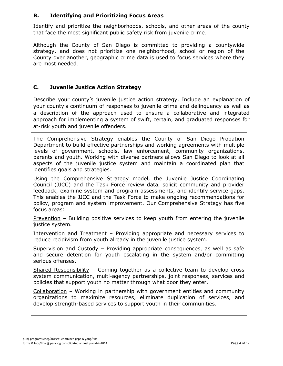### **B. Identifying and Prioritizing Focus Areas**

Identify and prioritize the neighborhoods, schools, and other areas of the county that face the most significant public safety risk from juvenile crime.

Although the County of San Diego is committed to providing a countywide strategy, and does not prioritize one neighborhood, school or region of the County over another, geographic crime data is used to focus services where they are most needed.

### **C. Juvenile Justice Action Strategy**

Describe your county's juvenile justice action strategy. Include an explanation of your county's continuum of responses to juvenile crime and delinquency as well as a description of the approach used to ensure a collaborative and integrated approach for implementing a system of swift, certain, and graduated responses for at-risk youth and juvenile offenders.

The Comprehensive Strategy enables the County of San Diego Probation Department to build effective partnerships and working agreements with multiple levels of government, schools, law enforcement, community organizations, parents and youth. Working with diverse partners allows San Diego to look at all aspects of the juvenile justice system and maintain a coordinated plan that identifies goals and strategies.

Using the Comprehensive Strategy model, the Juvenile Justice Coordinating Council (JJCC) and the Task Force review data, solicit community and provider feedback, examine system and program assessments, and identify service gaps. This enables the JJCC and the Task Force to make ongoing recommendations for policy, program and system improvement. Our Comprehensive Strategy has five focus areas:

Prevention - Building positive services to keep youth from entering the juvenile justice system.

Intervention and Treatment - Providing appropriate and necessary services to reduce recidivism from youth already in the juvenile justice system.

Supervision and Custody – Providing appropriate consequences, as well as safe and secure detention for youth escalating in the system and/or committing serious offenses.

Shared Responsibility – Coming together as a collective team to develop cross system communication, multi-agency partnerships, joint responses, services and policies that support youth no matter through what door they enter.

Collaboration – Working in partnership with government entities and community organizations to maximize resources, eliminate duplication of services, and develop strength-based services to support youth in their communities.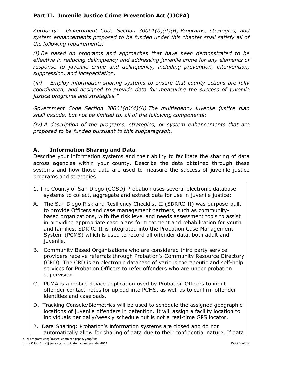## **Part II. Juvenile Justice Crime Prevention Act (JJCPA)**

*Authority: Government Code Section 30061(b)(4)(B) Programs, strategies, and system enhancements proposed to be funded under this chapter shall satisfy all of the following requirements:*

*(i) Be based on programs and approaches that have been demonstrated to be effective in reducing delinquency and addressing juvenile crime for any elements of response to juvenile crime and delinquency, including prevention, intervention, suppression, and incapacitation.*

*(iii) – Employ information sharing systems to ensure that county actions are fully coordinated, and designed to provide data for measuring the success of juvenile justice programs and strategies."*

*Government Code Section 30061(b)(4)(A) The multiagency juvenile justice plan shall include, but not be limited to, all of the following components:*

*(iv) A description of the programs, strategies, or system enhancements that are proposed to be funded pursuant to this subparagraph.*

## **A. Information Sharing and Data**

Describe your information systems and their ability to facilitate the sharing of data across agencies within your county. Describe the data obtained through these systems and how those data are used to measure the success of juvenile justice programs and strategies.

- 1. The County of San Diego (COSD) Probation uses several electronic database systems to collect, aggregate and extract data for use in juvenile justice:
- A. The San Diego Risk and Resiliency Checklist-II (SDRRC-II) was purpose-built to provide Officers and case management partners, such as communitybased organizations, with the risk level and needs assessment tools to assist in providing appropriate case plans for treatment and rehabilitation for youth and families. SDRRC-II is integrated into the Probation Case Management System (PCMS) which is used to record all offender data, both adult and juvenile.
- B. Community Based Organizations who are considered third party service providers receive referrals through Probation's Community Resource Directory (CRD). The CRD is an electronic database of various therapeutic and self-help services for Probation Officers to refer offenders who are under probation supervision.
- C. PUMA is a mobile device application used by Probation Officers to input offender contact notes for upload into PCMS, as well as to confirm offender identities and caseloads.
- D. Tracking Console/Biometrics will be used to schedule the assigned geographic locations of juvenile offenders in detention. It will assign a facility location to individuals per daily/weekly schedule but is not a real-time GPS locator.
- 2. Data Sharing: Probation's information systems are closed and do not automatically allow for sharing of data due to their confidential nature. If data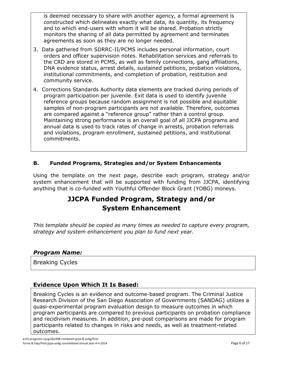is deemed necessary to share with another agency, a formal agreement is constructed which delineates exactly what data, its quantity, its frequency and to which end-users with whom it will be shared. Probation strictly monitors the sharing of all data permitted by agreement and terminates agreements as soon as they are no longer needed.

- 3. Data gathered from SDRRC-II/PCMS includes personal information, court orders and officer supervision notes. Rehabilitation services and referrals to the CRD are stored in PCMS, as well as family connections, gang affiliations, DNA evidence status, arrest details, sustained petitions, probation violations, institutional commitments, and completion of probation, restitution and community service.
- 4. Corrections Standards Authority data elements are tracked during periods of program participation per juvenile. Exit data is used to identify juvenile reference groups because random assignment is not possible and equitable samples of non-program participants are not available. Therefore, outcomes are compared against a "reference group" rather than a control group. Maintaining strong performance is an overall goal of all JJCPA programs and annual data is used to track rates of change in arrests, probation referrals and violations, program enrollment, sustained petitions, and institutional commitments.

## **B. Funded Programs, Strategies and/or System Enhancements**

Using the template on the next page, describe each program, strategy and/or system enhancement that will be supported with funding from JJCPA, identifying anything that is co-funded with Youthful Offender Block Grant (YOBG) moneys.

## **JJCPA Funded Program, Strategy and/or System Enhancement**

*This template should be copied as many times as needed to capture every program, strategy and system enhancement you plan to fund next year.*

#### *Program Name:*

Breaking Cycles

## **Evidence Upon Which It Is Based:**

Breaking Cycles is an evidence and outcome-based program. The Criminal Justice Research Division of the San Diego Association of Governments (SANDAG) utilizes a quasi-experimental program evaluation design to measure outcomes in which program participants are compared to previous participants on probation compliance and recidivism measures. In addition, pre-post comparisons are made for program participants related to changes in risks and needs, as well as treatment-related outcomes.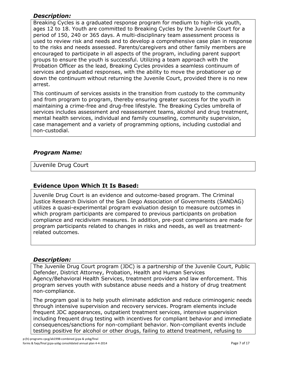## *Description:*

Breaking Cycles is a graduated response program for medium to high-risk youth, ages 12 to 18. Youth are committed to Breaking Cycles by the Juvenile Court for a period of 150, 240 or 365 days. A multi-disciplinary team assessment process is used to review risk and needs and to develop a comprehensive case plan in response to the risks and needs assessed. Parents/caregivers and other family members are encouraged to participate in all aspects of the program, including parent support groups to ensure the youth is successful. Utilizing a team approach with the Probation Officer as the lead, Breaking Cycles provides a seamless continuum of services and graduated responses, with the ability to move the probationer up or down the continuum without returning the Juvenile Court, provided there is no new arrest.

This continuum of services assists in the transition from custody to the community and from program to program, thereby ensuring greater success for the youth in maintaining a crime-free and drug-free lifestyle. The Breaking Cycles umbrella of services includes assessment and reassessment teams, alcohol and drug treatment, mental health services, individual and family counseling, community supervision, case management and a variety of programming options, including custodial and non-custodial.

## *Program Name:*

Juvenile Drug Court

### **Evidence Upon Which It Is Based:**

Juvenile Drug Court is an evidence and outcome-based program. The Criminal Justice Research Division of the San Diego Association of Governments (SANDAG) utilizes a quasi-experimental program evaluation design to measure outcomes in which program participants are compared to previous participants on probation compliance and recidivism measures. In addition, pre-post comparisons are made for program participants related to changes in risks and needs, as well as treatmentrelated outcomes.

#### *Description:*

The Juvenile Drug Court program (JDC) is a partnership of the Juvenile Court, Public Defender, District Attorney, Probation, Health and Human Services Agency/Behavioral Health Services, treatment providers and law enforcement. This program serves youth with substance abuse needs and a history of drug treatment non-compliance.

The program goal is to help youth eliminate addiction and reduce criminogenic needs through intensive supervision and recovery services. Program elements include frequent JDC appearances, outpatient treatment services, intensive supervision including frequent drug testing with incentives for compliant behavior and immediate consequences/sanctions for non-compliant behavior. Non-compliant events include testing positive for alcohol or other drugs, failing to attend treatment, refusing to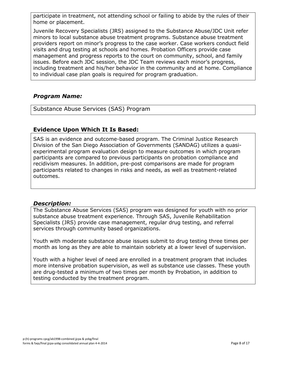participate in treatment, not attending school or failing to abide by the rules of their home or placement.

Juvenile Recovery Specialists (JRS) assigned to the Substance Abuse/JDC Unit refer minors to local substance abuse treatment programs. Substance abuse treatment providers report on minor's progress to the case worker. Case workers conduct field visits and drug testing at schools and homes. Probation Officers provide case management and progress reports to the court on community, school, and family issues. Before each JDC session, the JDC Team reviews each minor's progress, including treatment and his/her behavior in the community and at home. Compliance to individual case plan goals is required for program graduation.

## *Program Name:*

Substance Abuse Services (SAS) Program

#### **Evidence Upon Which It Is Based:**

SAS is an evidence and outcome-based program. The Criminal Justice Research Division of the San Diego Association of Governments (SANDAG) utilizes a quasiexperimental program evaluation design to measure outcomes in which program participants are compared to previous participants on probation compliance and recidivism measures. In addition, pre-post comparisons are made for program participants related to changes in risks and needs, as well as treatment-related outcomes.

#### *Description:*

The Substance Abuse Services (SAS) program was designed for youth with no prior substance abuse treatment experience. Through SAS, Juvenile Rehabilitation Specialists (JRS) provide case management, regular drug testing, and referral services through community based organizations.

Youth with moderate substance abuse issues submit to drug testing three times per month as long as they are able to maintain sobriety at a lower level of supervision.

Youth with a higher level of need are enrolled in a treatment program that includes more intensive probation supervision, as well as substance use classes. These youth are drug-tested a minimum of two times per month by Probation, in addition to testing conducted by the treatment program.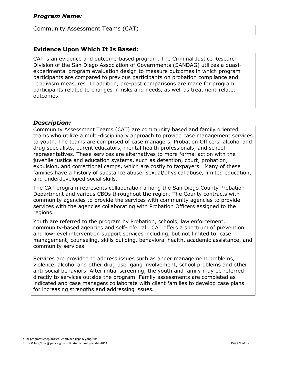#### Community Assessment Teams (CAT)

## **Evidence Upon Which It Is Based:**

CAT is an evidence and outcome-based program. The Criminal Justice Research Division of the San Diego Association of Governments (SANDAG) utilizes a quasiexperimental program evaluation design to measure outcomes in which program participants are compared to previous participants on probation compliance and recidivism measures. In addition, pre-post comparisons are made for program participants related to changes in risks and needs, as well as treatment-related outcomes.

#### *Description:*

Community Assessment Teams (CAT) are community based and family oriented teams who utilize a multi-disciplinary approach to provide case management services to youth. The teams are comprised of case managers, Probation Officers, alcohol and drug specialists, parent educators, mental health professionals, and school representatives. These services are alternatives to more formal action with the juvenile justice and education systems, such as detention, court, probation, expulsion, and correctional camps, which are costly to taxpayers. Many of these families have a history of substance abuse, sexual/physical abuse, limited education, and underdeveloped social skills.

The CAT program represents collaboration among the San Diego County Probation Department and various CBOs throughout the region. The County contracts with community agencies to provide the services with community agencies to provide services with the agencies collaborating with Probation Officers assigned to the regions.

Youth are referred to the program by Probation, schools, law enforcement, community-based agencies and self-referral. CAT offers a spectrum of prevention and low-level intervention support services including, but not limited to, case management, counseling, skills building, behavioral health, academic assistance, and community services.

Services are provided to address issues such as anger management problems, violence, alcohol and other drug use, gang involvement, school problems and other anti-social behaviors. After initial screening, the youth and family may be referred directly to services outside the program. Family assessments are completed as indicated and case managers collaborate with client families to develop case plans for increasing strengths and addressing issues.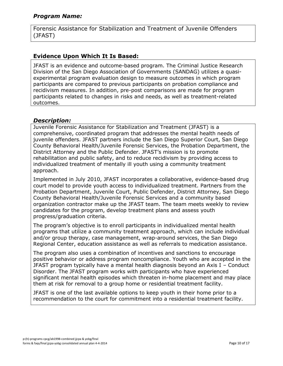Forensic Assistance for Stabilization and Treatment of Juvenile Offenders (JFAST)

## **Evidence Upon Which It Is Based:**

JFAST is an evidence and outcome-based program. The Criminal Justice Research Division of the San Diego Association of Governments (SANDAG) utilizes a quasiexperimental program evaluation design to measure outcomes in which program participants are compared to previous participants on probation compliance and recidivism measures. In addition, pre-post comparisons are made for program participants related to changes in risks and needs, as well as treatment-related outcomes.

#### *Description:*

Juvenile Forensic Assistance for Stabilization and Treatment (JFAST) is a comprehensive, coordinated program that addresses the mental health needs of juvenile offenders. JFAST partners include the San Diego Superior Court, San Diego County Behavioral Health/Juvenile Forensic Services, the Probation Department, the District Attorney and the Public Defender. JFAST's mission is to promote rehabilitation and public safety, and to reduce recidivism by providing access to individualized treatment of mentally ill youth using a community treatment approach.

Implemented in July 2010, JFAST incorporates a collaborative, evidence-based drug court model to provide youth access to individualized treatment. Partners from the Probation Department, Juvenile Court, Public Defender, District Attorney, San Diego County Behavioral Health/Juvenile Forensic Services and a community based organization contractor make up the JFAST team. The team meets weekly to review candidates for the program, develop treatment plans and assess youth progress/graduation criteria.

The program's objective is to enroll participants in individualized mental health programs that utilize a community treatment approach, which can include individual and/or group therapy, case management, wrap-around services, the San Diego Regional Center, education assistance as well as referrals to medication assistance.

The program also uses a combination of incentives and sanctions to encourage positive behavior or address program noncompliance. Youth who are accepted in the JFAST program typically have a mental health diagnosis beyond an Axis I – Conduct Disorder. The JFAST program works with participants who have experienced significant mental health episodes which threaten in-home placement and may place them at risk for removal to a group home or residential treatment facility.

JFAST is one of the last available options to keep youth in their home prior to a recommendation to the court for commitment into a residential treatment facility.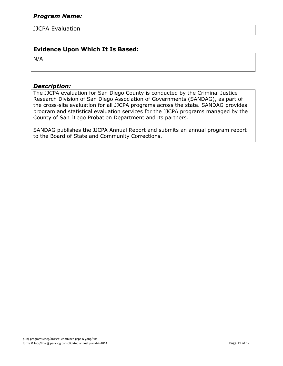JJCPA Evaluation

### **Evidence Upon Which It Is Based:**

N/A

#### *Description:*

The JJCPA evaluation for San Diego County is conducted by the Criminal Justice Research Division of San Diego Association of Governments (SANDAG), as part of the cross-site evaluation for all JJCPA programs across the state. SANDAG provides program and statistical evaluation services for the JJCPA programs managed by the County of San Diego Probation Department and its partners.

SANDAG publishes the JJCPA Annual Report and submits an annual program report to the Board of State and Community Corrections.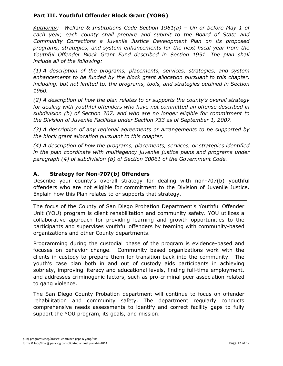## **Part III. Youthful Offender Block Grant (YOBG)**

*Authority: Welfare & Institutions Code Section 1961(a) – On or before May 1 of each year, each county shall prepare and submit to the Board of State and Community Corrections a Juvenile Justice Development Plan on its proposed programs, strategies, and system enhancements for the next fiscal year from the Youthful Offender Block Grant Fund described in Section 1951. The plan shall include all of the following:*

*(1) A description of the programs, placements, services, strategies, and system enhancements to be funded by the block grant allocation pursuant to this chapter, including, but not limited to, the programs, tools, and strategies outlined in Section 1960.*

*(2) A description of how the plan relates to or supports the county's overall strategy for dealing with youthful offenders who have not committed an offense described in subdivision (b) of Section 707, and who are no longer eligible for commitment to the Division of Juvenile Facilities under Section 733 as of September 1, 2007.*

*(3) A description of any regional agreements or arrangements to be supported by the block grant allocation pursuant to this chapter.*

*(4) A description of how the programs, placements, services, or strategies identified in the plan coordinate with multiagency juvenile justice plans and programs under paragraph (4) of subdivision (b) of Section 30061 of the Government Code.*

## **A. Strategy for Non-707(b) Offenders**

Describe your county's overall strategy for dealing with non-707(b) youthful offenders who are not eligible for commitment to the Division of Juvenile Justice. Explain how this Plan relates to or supports that strategy.

The focus of the County of San Diego Probation Department's Youthful Offender Unit (YOU) program is client rehabilitation and community safety. YOU utilizes a collaborative approach for providing learning and growth opportunities to the participants and supervises youthful offenders by teaming with community-based organizations and other County departments.

Programming during the custodial phase of the program is evidence-based and focuses on behavior change. Community based organizations work with the clients in custody to prepare them for transition back into the community. The youth's case plan both in and out of custody aids participants in achieving sobriety, improving literacy and educational levels, finding full-time employment, and addresses criminogenic factors, such as pro-criminal peer association related to gang violence.

The San Diego County Probation department will continue to focus on offender rehabilitation and community safety. The department regularly conducts comprehensive needs assessments to identify and correct facility gaps to fully support the YOU program, its goals, and mission.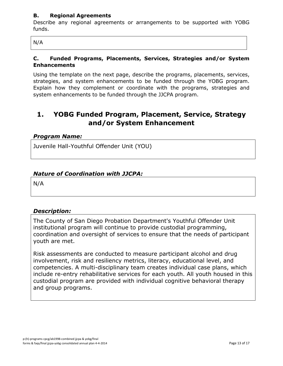#### **B. Regional Agreements**

Describe any regional agreements or arrangements to be supported with YOBG funds.

N/A

#### **C. Funded Programs, Placements, Services, Strategies and/or System Enhancements**

Using the template on the next page, describe the programs, placements, services, strategies, and system enhancements to be funded through the YOBG program. Explain how they complement or coordinate with the programs, strategies and system enhancements to be funded through the JJCPA program.

## **1. YOBG Funded Program, Placement, Service, Strategy and/or System Enhancement**

#### *Program Name:*

Juvenile Hall-Youthful Offender Unit (YOU)

## *Nature of Coordination with JJCPA:*

N/A

## *Description:*

The County of San Diego Probation Department's Youthful Offender Unit institutional program will continue to provide custodial programming, coordination and oversight of services to ensure that the needs of participant youth are met.

Risk assessments are conducted to measure participant alcohol and drug involvement, risk and resiliency metrics, literacy, educational level, and competencies. A multi-disciplinary team creates individual case plans, which include re-entry rehabilitative services for each youth. All youth housed in this custodial program are provided with individual cognitive behavioral therapy and group programs.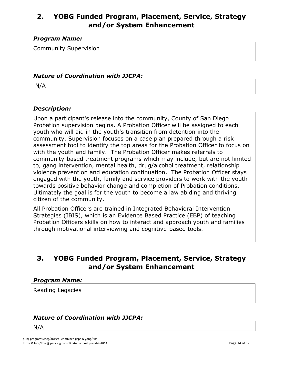## **2. YOBG Funded Program, Placement, Service, Strategy and/or System Enhancement**

## *Program Name:*

Community Supervision

### *Nature of Coordination with JJCPA:*

N/A

#### *Description:*

Upon a participant's release into the community, County of San Diego Probation supervision begins. A Probation Officer will be assigned to each youth who will aid in the youth's transition from detention into the community. Supervision focuses on a case plan prepared through a risk assessment tool to identify the top areas for the Probation Officer to focus on with the youth and family. The Probation Officer makes referrals to community-based treatment programs which may include, but are not limited to, gang intervention, mental health, drug/alcohol treatment, relationship violence prevention and education continuation. The Probation Officer stays engaged with the youth, family and service providers to work with the youth towards positive behavior change and completion of Probation conditions. Ultimately the goal is for the youth to become a law abiding and thriving citizen of the community.

All Probation Officers are trained in Integrated Behavioral Intervention Strategies (IBIS), which is an Evidence Based Practice (EBP) of teaching Probation Officers skills on how to interact and approach youth and families through motivational interviewing and cognitive-based tools.

## **3. YOBG Funded Program, Placement, Service, Strategy and/or System Enhancement**

#### *Program Name:*

Reading Legacies

## *Nature of Coordination with JJCPA:*

N/A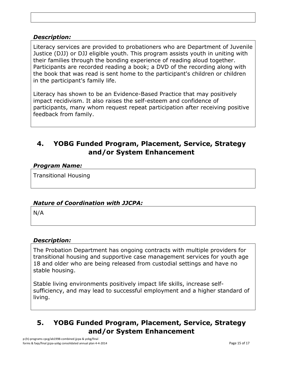### *Description:*

Literacy services are provided to probationers who are Department of Juvenile Justice (DJJ) or DJJ eligible youth. This program assists youth in uniting with their families through the bonding experience of reading aloud together. Participants are recorded reading a book; a DVD of the recording along with the book that was read is sent home to the participant's children or children in the participant's family life.

Literacy has shown to be an Evidence-Based Practice that may positively impact recidivism. It also raises the self-esteem and confidence of participants, many whom request repeat participation after receiving positive feedback from family.

## **4. YOBG Funded Program, Placement, Service, Strategy and/or System Enhancement**

#### *Program Name:*

Transitional Housing

## *Nature of Coordination with JJCPA:*

N/A

## *Description:*

The Probation Department has ongoing contracts with multiple providers for transitional housing and supportive case management services for youth age 18 and older who are being released from custodial settings and have no stable housing.

Stable living environments positively impact life skills, increase selfsufficiency, and may lead to successful employment and a higher standard of living.

## **5. YOBG Funded Program, Placement, Service, Strategy and/or System Enhancement**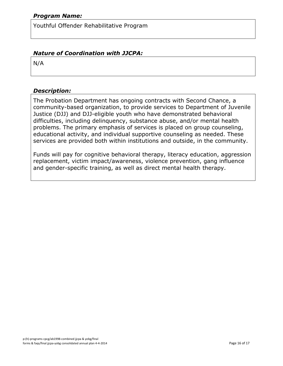Youthful Offender Rehabilitative Program

## *Nature of Coordination with JJCPA:*

N/A

### *Description:*

The Probation Department has ongoing contracts with Second Chance, a community-based organization, to provide services to Department of Juvenile Justice (DJJ) and DJJ-eligible youth who have demonstrated behavioral difficulties, including delinquency, substance abuse, and/or mental health problems. The primary emphasis of services is placed on group counseling, educational activity, and individual supportive counseling as needed. These services are provided both within institutions and outside, in the community.

Funds will pay for cognitive behavioral therapy, literacy education, aggression replacement, victim impact/awareness, violence prevention, gang influence and gender-specific training, as well as direct mental health therapy.